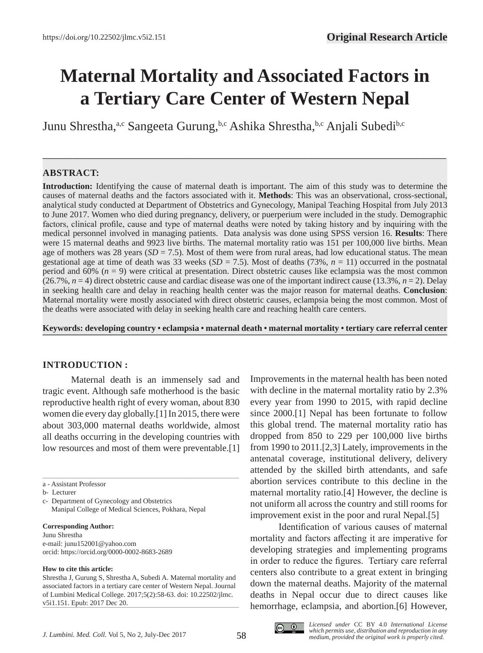# **Maternal Mortality and Associated Factors in a Tertiary Care Center of Western Nepal**

**—–—————————————————————————————————————————————**

Junu Shrestha,<sup>a,c</sup> Sangeeta Gurung,<sup>b,c</sup> Ashika Shrestha,<sup>b,c</sup> Anjali Subedi<sup>b,c</sup>

## **ABSTRACT:**

**Introduction:** Identifying the cause of maternal death is important. The aim of this study was to determine the causes of maternal deaths and the factors associated with it. **Methods**: This was an observational, cross-sectional, analytical study conducted at Department of Obstetrics and Gynecology, Manipal Teaching Hospital from July 2013 to June 2017. Women who died during pregnancy, delivery, or puerperium were included in the study. Demographic factors, clinical profile, cause and type of maternal deaths were noted by taking history and by inquiring with the medical personnel involved in managing patients. Data analysis was done using SPSS version 16. **Results**: There were 15 maternal deaths and 9923 live births. The maternal mortality ratio was 151 per 100,000 live births. Mean age of mothers was 28 years  $(SD = 7.5)$ . Most of them were from rural areas, had low educational status. The mean gestational age at time of death was 33 weeks  $(SD = 7.5)$ . Most of deaths (73%,  $n = 11$ ) occurred in the postnatal period and 60% (*n* = 9) were critical at presentation. Direct obstetric causes like eclampsia was the most common  $(26.7\%, n=4)$  direct obstetric cause and cardiac disease was one of the important indirect cause  $(13.3\%, n=2)$ . Delay in seeking health care and delay in reaching health center was the major reason for maternal deaths. **Conclusion**: Maternal mortality were mostly associated with direct obstetric causes, eclampsia being the most common. Most of the deaths were associated with delay in seeking health care and reaching health care centers.

**Keywords: developing country •** eclampsia • maternal death • maternal mortality • tertiary care referral center

### **INTRODUCTION :**

Maternal death is an immensely sad and tragic event. Although safe motherhood is the basic reproductive health right of every woman, about 830 women die every day globally.[1] In 2015, there were about 303,000 maternal deaths worldwide, almost all deaths occurring in the developing countries with low resources and most of them were preventable.[1]

\_\_\_\_\_\_\_\_\_\_\_\_\_\_\_\_\_\_\_\_\_\_\_\_\_\_\_\_\_\_\_\_\_\_\_\_\_\_\_\_\_\_\_\_\_\_\_\_\_\_\_\_\_\_\_\_\_\_\_\_\_\_\_\_\_\_\_\_\_\_\_\_\_\_\_\_\_\_\_\_\_\_\_

#### **Corresponding Author:**

Junu Shrestha e-mail: junu152001@yahoo.com orcid: https://orcid.org/0000-0002-8683-2689

#### **How to cite this article:**

Improvements in the maternal health has been noted with decline in the maternal mortality ratio by 2.3% every year from 1990 to 2015, with rapid decline since 2000.[1] Nepal has been fortunate to follow this global trend. The maternal mortality ratio has dropped from 850 to 229 per 100,000 live births from 1990 to 2011.[2,3] Lately, improvements in the antenatal coverage, institutional delivery, delivery attended by the skilled birth attendants, and safe abortion services contribute to this decline in the maternal mortality ratio.[4] However, the decline is not uniform all across the country and still rooms for improvement exist in the poor and rural Nepal.[5]

Identification of various causes of maternal mortality and factors affecting it are imperative for developing strategies and implementing programs in order to reduce the figures. Tertiary care referral centers also contribute to a great extent in bringing down the maternal deaths. Majority of the maternal deaths in Nepal occur due to direct causes like hemorrhage, eclampsia, and abortion.[6] However,



 $\odot$  $_{\rm (cc)}$ 

a - Assistant Professor

b- Lecturer

c- Department of Gynecology and Obstetrics Manipal College of Medical Sciences, Pokhara, Nepal

Shrestha J, Gurung S, Shrestha A, Subedi A. Maternal mortality and associated factors in a tertiary care center of Western Nepal. Journal of Lumbini Medical College. 2017;5(2):58-63. doi: 10.22502/jlmc. v5i1.151. Epub: 2017 Dec 20.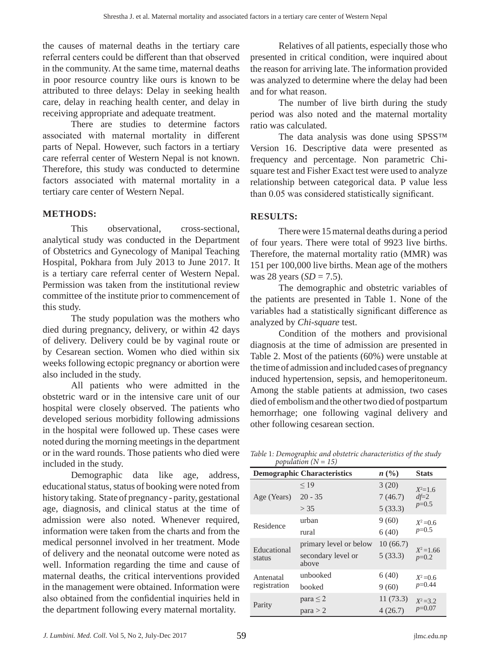the causes of maternal deaths in the tertiary care referral centers could be different than that observed in the community. At the same time, maternal deaths in poor resource country like ours is known to be attributed to three delays: Delay in seeking health care, delay in reaching health center, and delay in receiving appropriate and adequate treatment.

There are studies to determine factors associated with maternal mortality in different parts of Nepal. However, such factors in a tertiary care referral center of Western Nepal is not known. Therefore, this study was conducted to determine factors associated with maternal mortality in a tertiary care center of Western Nepal.

## **METHODS:**

This observational, cross-sectional, analytical study was conducted in the Department of Obstetrics and Gynecology of Manipal Teaching Hospital, Pokhara from July 2013 to June 2017. It is a tertiary care referral center of Western Nepal. Permission was taken from the institutional review committee of the institute prior to commencement of this study.

The study population was the mothers who died during pregnancy, delivery, or within 42 days of delivery. Delivery could be by vaginal route or by Cesarean section. Women who died within six weeks following ectopic pregnancy or abortion were also included in the study.

All patients who were admitted in the obstetric ward or in the intensive care unit of our hospital were closely observed. The patients who developed serious morbidity following admissions in the hospital were followed up. These cases were noted during the morning meetings in the department or in the ward rounds. Those patients who died were included in the study.

Demographic data like age, address, educational status, status of booking were noted from history taking. State of pregnancy - parity, gestational age, diagnosis, and clinical status at the time of admission were also noted. Whenever required, information were taken from the charts and from the medical personnel involved in her treatment. Mode of delivery and the neonatal outcome were noted as well. Information regarding the time and cause of maternal deaths, the critical interventions provided in the management were obtained. Information were also obtained from the confidential inquiries held in the department following every maternal mortality.

Relatives of all patients, especially those who presented in critical condition, were inquired about the reason for arriving late. The information provided was analyzed to determine where the delay had been and for what reason.

The number of live birth during the study period was also noted and the maternal mortality ratio was calculated.

The data analysis was done using SPSS™ Version 16. Descriptive data were presented as frequency and percentage. Non parametric Chisquare test and Fisher Exact test were used to analyze relationship between categorical data. P value less than 0.05 was considered statistically significant.

# **RESULTS:**

There were 15 maternal deaths during a period of four years. There were total of 9923 live births. Therefore, the maternal mortality ratio (MMR) was 151 per 100,000 live births. Mean age of the mothers was 28 years  $(SD = 7.5)$ .

The demographic and obstetric variables of the patients are presented in Table 1. None of the variables had a statistically significant difference as analyzed by *Chi-square* test.

Condition of the mothers and provisional diagnosis at the time of admission are presented in Table 2. Most of the patients (60%) were unstable at the time of admission and included cases of pregnancy induced hypertension, sepsis, and hemoperitoneum. Among the stable patients at admission, two cases died of embolism and the other two died of postpartum hemorrhage; one following vaginal delivery and other following cesarean section.

*Table* 1*: Demographic and obstetric characteristics of the study population (N = 15)*

|                           | p                                  |          |                         |  |
|---------------------------|------------------------------------|----------|-------------------------|--|
|                           | <b>Demographic Characteristics</b> | n(%)     | <b>Stats</b>            |  |
| Age (Years)               | < 19                               | 3(20)    | $X^2=1.6$               |  |
|                           | $20 - 35$                          | 7(46.7)  | $df=2$                  |  |
|                           | > 35                               | 5(33.3)  | $p=0.5$                 |  |
| Residence                 | urban                              | 9(60)    | $X^2 = 0.6$             |  |
|                           | rural                              | 6(40)    | $p=0.5$                 |  |
| Educational<br>status     | primary level or below             | 10(66.7) |                         |  |
|                           | secondary level or<br>above        | 5(33.3)  | $X^2 = 1.66$<br>$p=0.2$ |  |
| Antenatal<br>registration | unbooked                           | 6(40)    | $X^2 = 0.6$             |  |
|                           | booked                             | 9(60)    | $p=0.44$                |  |
| Parity                    | para $\leq$ 2                      | 11(73.3) | $X^2 = 3.2$             |  |
|                           | para > 2                           | 4(26.7)  | $p=0.07$                |  |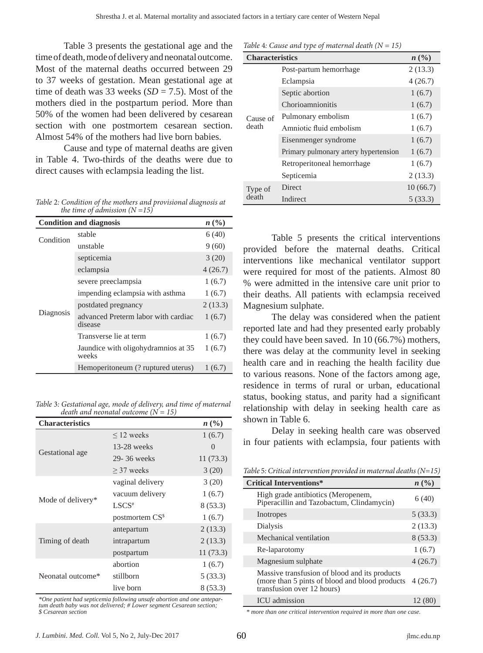Table 3 presents the gestational age and the time of death, mode of delivery and neonatal outcome. Most of the maternal deaths occurred between 29 to 37 weeks of gestation. Mean gestational age at time of death was 33 weeks  $(SD = 7.5)$ . Most of the mothers died in the postpartum period. More than 50% of the women had been delivered by cesarean section with one postmortem cesarean section. Almost 54% of the mothers had live born babies.

Cause and type of maternal deaths are given in Table 4. Two-thirds of the deaths were due to direct causes with eclampsia leading the list.

*Table* 2*: Condition of the mothers and provisional diagnosis at the time of admission (N =15)*

|           | <b>Condition and diagnosis</b>                 | $n\ (\%)$ |
|-----------|------------------------------------------------|-----------|
| Condition | stable                                         | 6(40)     |
|           | unstable                                       | 9(60)     |
| Diagnosis | septicemia                                     | 3(20)     |
|           | eclampsia                                      | 4(26.7)   |
|           | severe preeclampsia                            | 1(6.7)    |
|           | impending eclampsia with asthma                | 1(6.7)    |
|           | postdated pregnancy                            | 2(13.3)   |
|           | advanced Preterm labor with cardiac<br>disease | 1(6.7)    |
|           | Transverse lie at term                         | 1(6.7)    |
|           | Jaundice with oligohydramnios at 35<br>weeks   | 1(6.7)    |
|           | Hemoperitoneum (? ruptured uterus)             | 1(6.7)    |

*Table* 3*: Gestational age, mode of delivery, and time of maternal death and neonatal outcome*  $(N = 15)$ 

| <b>Characteristics</b> |                            | n(%)     |
|------------------------|----------------------------|----------|
|                        | $\leq$ 12 weeks            | 1(6.7)   |
|                        | $13-28$ weeks              | 0        |
| Gestational age        | 29-36 weeks                | 11(73.3) |
|                        | $\geq$ 37 weeks            | 3(20)    |
|                        | vaginal delivery           | 3(20)    |
|                        | vacuum delivery            | 1(6.7)   |
| Mode of delivery*      | LSCS <sup>#</sup>          | 8(53.3)  |
|                        | postmortem CS <sup>s</sup> | 1(6.7)   |
|                        | antepartum                 | 2(13.3)  |
| Timing of death        | intrapartum                | 2(13.3)  |
|                        | postpartum                 | 11(73.3) |
|                        | abortion                   | 1(6.7)   |
| Neonatal outcome*      | stillborn                  | 5(33.3)  |
|                        | live born                  | 8(53.3)  |

*\*One patient had septicemia following unsafe abortion and one antepar-tum death baby was not delivered; # Lower segment Cesarean section; \$ Cesarean section*

| <b>Characteristics</b> |                                       | n(%)     |
|------------------------|---------------------------------------|----------|
| Cause of<br>death      | Post-partum hemorrhage                | 2(13.3)  |
|                        | Eclampsia                             | 4(26.7)  |
|                        | Septic abortion                       | 1(6.7)   |
|                        | Chorioamnionitis                      | 1(6.7)   |
|                        | Pulmonary embolism                    | 1(6.7)   |
|                        | Amniotic fluid embolism               | 1(6.7)   |
|                        | Eisenmenger syndrome                  | 1(6.7)   |
|                        | Primary pulmonary artery hypertension | 1(6.7)   |
|                        | Retroperitoneal hemorrhage            | 1(6.7)   |
|                        | Septicemia                            | 2(13.3)  |
| Type of                | Direct                                | 10(66.7) |
| death                  | Indirect                              | 5(33.3)  |

Table 5 presents the critical interventions provided before the maternal deaths. Critical interventions like mechanical ventilator support were required for most of the patients. Almost 80 % were admitted in the intensive care unit prior to their deaths. All patients with eclampsia received Magnesium sulphate.

The delay was considered when the patient reported late and had they presented early probably they could have been saved. In 10 (66.7%) mothers, there was delay at the community level in seeking health care and in reaching the health facility due to various reasons. None of the factors among age, residence in terms of rural or urban, educational status, booking status, and parity had a significant relationship with delay in seeking health care as shown in Table 6.

Delay in seeking health care was observed in four patients with eclampsia, four patients with

| <b>Critical Interventions*</b>                                                                                                 | n (%)   |
|--------------------------------------------------------------------------------------------------------------------------------|---------|
| High grade antibiotics (Meropenem,<br>Piperacillin and Tazobactum, Clindamycin)                                                | 6(40)   |
| Inotropes                                                                                                                      | 5(33.3) |
| Dialysis                                                                                                                       | 2(13.3) |
| Mechanical ventilation                                                                                                         | 8(53.3) |
| Re-laparotomy                                                                                                                  | 1(6.7)  |
| Magnesium sulphate                                                                                                             | 4(26.7) |
| Massive transfusion of blood and its products<br>(more than 5 pints of blood and blood products)<br>transfusion over 12 hours) | 4(26.7) |
| <b>ICU</b> admission                                                                                                           | 12 (80  |

*\* more than one critical intervention required in more than one case.*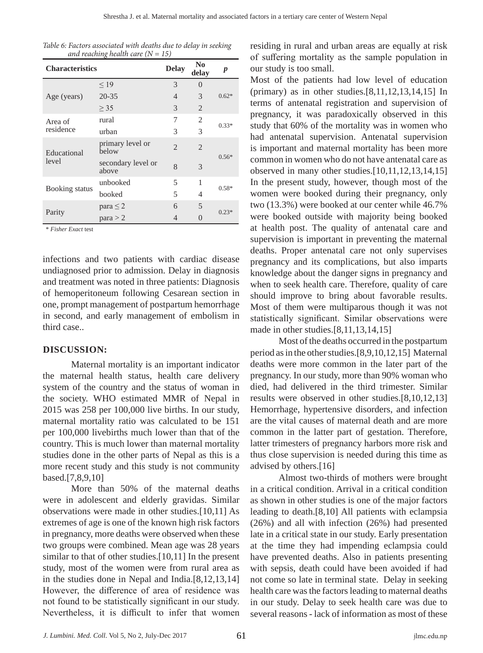| Table 6: Factors associated with deaths due to delay in seeking |  |  |  |
|-----------------------------------------------------------------|--|--|--|
| and reaching health care $(N = 15)$                             |  |  |  |

| <b>Characteristics</b> |                             | <b>Delay</b>   | N <sub>0</sub><br>delay | p       |
|------------------------|-----------------------------|----------------|-------------------------|---------|
|                        | $\leq$ 19                   | 3              | $\theta$                |         |
| Age (years)            | $20 - 35$                   | $\overline{4}$ | 3                       | $0.62*$ |
|                        | $\geq$ 35                   | 3              | 2                       |         |
| Area of                | rural                       | 7              | 2                       | $0.33*$ |
| residence              | urban                       | 3              | 3                       |         |
| Educational            | primary level or<br>below   | $\mathfrak{D}$ | $\mathfrak{D}$          | $0.56*$ |
| level                  | secondary level or<br>above | 8              | 3                       |         |
|                        | unbooked                    | 5              | 1                       |         |
| Booking status         | booked                      | 5              | 4                       | $0.58*$ |
|                        | para $\leq$ 2               | 6              | 5                       | $0.23*$ |
| Parity                 | para > 2                    | 4              | $\left( \right)$        |         |

\* *Fisher Exact* test

infections and two patients with cardiac disease undiagnosed prior to admission. Delay in diagnosis and treatment was noted in three patients: Diagnosis of hemoperitoneum following Cesarean section in one, prompt management of postpartum hemorrhage in second, and early management of embolism in third case..

### **DISCUSSION:**

Maternal mortality is an important indicator the maternal health status, health care delivery system of the country and the status of woman in the society. WHO estimated MMR of Nepal in 2015 was 258 per 100,000 live births. In our study, maternal mortality ratio was calculated to be 151 per 100,000 livebirths much lower than that of the country. This is much lower than maternal mortality studies done in the other parts of Nepal as this is a more recent study and this study is not community based.[7,8,9,10]

More than 50% of the maternal deaths were in adolescent and elderly gravidas. Similar observations were made in other studies.[10,11] As extremes of age is one of the known high risk factors in pregnancy, more deaths were observed when these two groups were combined. Mean age was 28 years similar to that of other studies.[10,11] In the present study, most of the women were from rural area as in the studies done in Nepal and India.[8,12,13,14] However, the difference of area of residence was not found to be statistically significant in our study. Nevertheless, it is difficult to infer that women

residing in rural and urban areas are equally at risk of suffering mortality as the sample population in our study is too small.

Most of the patients had low level of education (primary) as in other studies.[8,11,12,13,14,15] In terms of antenatal registration and supervision of pregnancy, it was paradoxically observed in this study that 60% of the mortality was in women who had antenatal supervision. Antenatal supervision is important and maternal mortality has been more common in women who do not have antenatal care as observed in many other studies.[10,11,12,13,14,15] In the present study, however, though most of the women were booked during their pregnancy, only two (13.3%) were booked at our center while 46.7% were booked outside with majority being booked at health post. The quality of antenatal care and supervision is important in preventing the maternal deaths. Proper antenatal care not only supervises pregnancy and its complications, but also imparts knowledge about the danger signs in pregnancy and when to seek health care. Therefore, quality of care should improve to bring about favorable results. Most of them were multiparous though it was not statistically significant. Similar observations were made in other studies.[8,11,13,14,15]

Most of the deaths occurred in the postpartum period as in the other studies.[8,9,10,12,15] Maternal deaths were more common in the later part of the pregnancy. In our study, more than 90% woman who died, had delivered in the third trimester. Similar results were observed in other studies.[8,10,12,13] Hemorrhage, hypertensive disorders, and infection are the vital causes of maternal death and are more common in the latter part of gestation. Therefore, latter trimesters of pregnancy harbors more risk and thus close supervision is needed during this time as advised by others.[16]

Almost two-thirds of mothers were brought in a critical condition. Arrival in a critical condition as shown in other studies is one of the major factors leading to death.[8,10] All patients with eclampsia (26%) and all with infection (26%) had presented late in a critical state in our study. Early presentation at the time they had impending eclampsia could have prevented deaths. Also in patients presenting with sepsis, death could have been avoided if had not come so late in terminal state. Delay in seeking health care was the factors leading to maternal deaths in our study. Delay to seek health care was due to several reasons - lack of information as most of these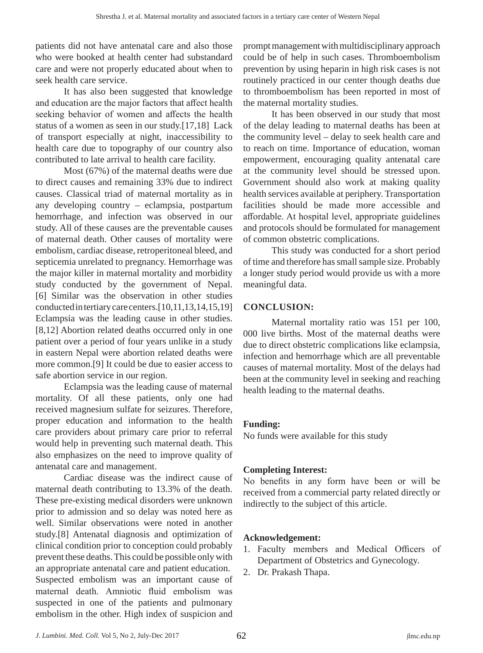patients did not have antenatal care and also those who were booked at health center had substandard care and were not properly educated about when to seek health care service.

It has also been suggested that knowledge and education are the major factors that affect health seeking behavior of women and affects the health status of a women as seen in our study.[17,18] Lack of transport especially at night, inaccessibility to health care due to topography of our country also contributed to late arrival to health care facility.

Most (67%) of the maternal deaths were due to direct causes and remaining 33% due to indirect causes. Classical triad of maternal mortality as in any developing country – eclampsia, postpartum hemorrhage, and infection was observed in our study. All of these causes are the preventable causes of maternal death. Other causes of mortality were embolism, cardiac disease, retroperitoneal bleed, and septicemia unrelated to pregnancy. Hemorrhage was the major killer in maternal mortality and morbidity study conducted by the government of Nepal. [6] Similar was the observation in other studies conducted in tertiary care centers.[10,11,13,14,15,19] Eclampsia was the leading cause in other studies. [8,12] Abortion related deaths occurred only in one patient over a period of four years unlike in a study in eastern Nepal were abortion related deaths were more common.[9] It could be due to easier access to safe abortion service in our region.

Eclampsia was the leading cause of maternal mortality. Of all these patients, only one had received magnesium sulfate for seizures. Therefore, proper education and information to the health care providers about primary care prior to referral would help in preventing such maternal death. This also emphasizes on the need to improve quality of antenatal care and management.

Cardiac disease was the indirect cause of maternal death contributing to 13.3% of the death. These pre-existing medical disorders were unknown prior to admission and so delay was noted here as well. Similar observations were noted in another study.[8] Antenatal diagnosis and optimization of clinical condition prior to conception could probably prevent these deaths. This could be possible only with an appropriate antenatal care and patient education. Suspected embolism was an important cause of maternal death. Amniotic fluid embolism was suspected in one of the patients and pulmonary embolism in the other. High index of suspicion and prompt management with multidisciplinary approach could be of help in such cases. Thromboembolism prevention by using heparin in high risk cases is not routinely practiced in our center though deaths due to thromboembolism has been reported in most of the maternal mortality studies.

It has been observed in our study that most of the delay leading to maternal deaths has been at the community level – delay to seek health care and to reach on time. Importance of education, woman empowerment, encouraging quality antenatal care at the community level should be stressed upon. Government should also work at making quality health services available at periphery. Transportation facilities should be made more accessible and affordable. At hospital level, appropriate guidelines and protocols should be formulated for management of common obstetric complications.

This study was conducted for a short period of time and therefore has small sample size. Probably a longer study period would provide us with a more meaningful data.

## **CONCLUSION:**

Maternal mortality ratio was 151 per 100, 000 live births. Most of the maternal deaths were due to direct obstetric complications like eclampsia, infection and hemorrhage which are all preventable causes of maternal mortality. Most of the delays had been at the community level in seeking and reaching health leading to the maternal deaths.

## **Funding:**

No funds were available for this study

# **Completing Interest:**

No benefits in any form have been or will be received from a commercial party related directly or indirectly to the subject of this article.

# **Acknowledgement:**

- 1. Faculty members and Medical Officers of Department of Obstetrics and Gynecology.
- 2. Dr. Prakash Thapa.